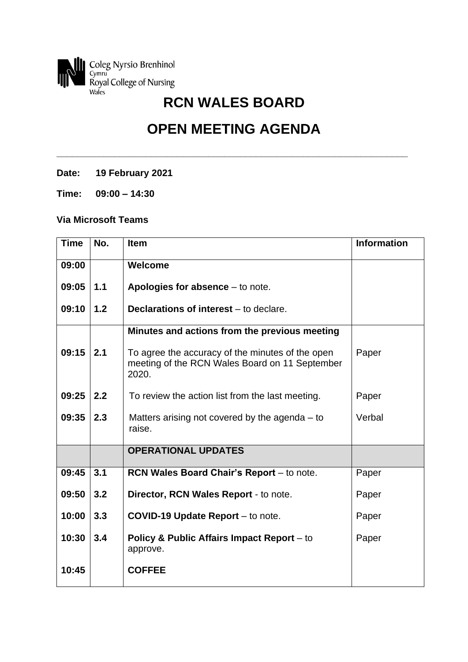

## **OPEN MEETING AGENDA**

**\_\_\_\_\_\_\_\_\_\_\_\_\_\_\_\_\_\_\_\_\_\_\_\_\_\_\_\_\_\_\_\_\_\_\_\_\_\_\_\_\_\_\_\_\_\_\_\_\_\_\_\_\_\_\_\_\_\_\_\_\_\_\_\_\_\_\_**

**Date: 19 February 2021**

**Time: 09:00 – 14:30**

## **Via Microsoft Teams**

| <b>Time</b> | No. | <b>Item</b>                                                                                                 | <b>Information</b> |
|-------------|-----|-------------------------------------------------------------------------------------------------------------|--------------------|
| 09:00       |     | Welcome                                                                                                     |                    |
| 09:05       | 1.1 | Apologies for absence $-$ to note.                                                                          |                    |
| 09:10       | 1.2 | Declarations of interest - to declare.                                                                      |                    |
|             |     | Minutes and actions from the previous meeting                                                               |                    |
| 09:15       | 2.1 | To agree the accuracy of the minutes of the open<br>meeting of the RCN Wales Board on 11 September<br>2020. | Paper              |
| 09:25       | 2.2 | To review the action list from the last meeting.                                                            | Paper              |
| 09:35       | 2.3 | Matters arising not covered by the agenda $-$ to<br>raise.                                                  | Verbal             |
|             |     | <b>OPERATIONAL UPDATES</b>                                                                                  |                    |
| 09:45       | 3.1 | RCN Wales Board Chair's Report - to note.                                                                   | Paper              |
| 09:50       | 3.2 | Director, RCN Wales Report - to note.                                                                       | Paper              |
| 10:00       | 3.3 | <b>COVID-19 Update Report</b> – to note.                                                                    | Paper              |
| 10:30       | 3.4 | <b>Policy &amp; Public Affairs Impact Report</b> – to<br>approve.                                           | Paper              |
| 10:45       |     | <b>COFFEE</b>                                                                                               |                    |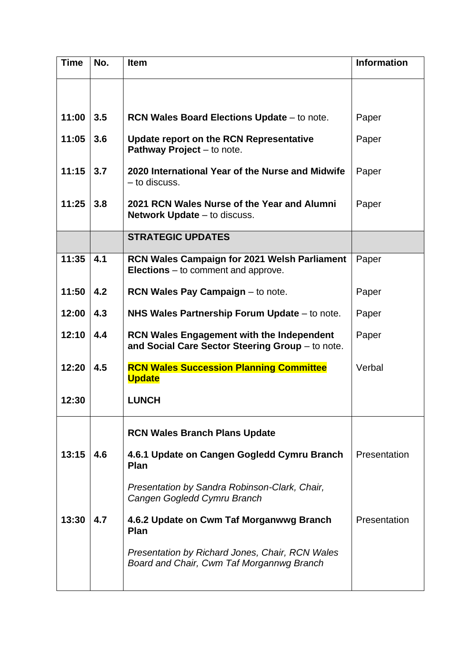| <b>Time</b> | No. | <b>Item</b>                                                                                          | <b>Information</b> |
|-------------|-----|------------------------------------------------------------------------------------------------------|--------------------|
|             |     |                                                                                                      |                    |
| 11:00       | 3.5 | <b>RCN Wales Board Elections Update - to note.</b>                                                   | Paper              |
| 11:05       | 3.6 | Update report on the RCN Representative<br>Pathway Project - to note.                                | Paper              |
| 11:15       | 3.7 | 2020 International Year of the Nurse and Midwife<br>- to discuss.                                    | Paper              |
| 11:25       | 3.8 | 2021 RCN Wales Nurse of the Year and Alumni<br><b>Network Update</b> – to discuss.                   | Paper              |
|             |     | <b>STRATEGIC UPDATES</b>                                                                             |                    |
| 11:35       | 4.1 | <b>RCN Wales Campaign for 2021 Welsh Parliament</b><br><b>Elections</b> $-$ to comment and approve.  | Paper              |
| 11:50       | 4.2 | <b>RCN Wales Pay Campaign - to note.</b>                                                             | Paper              |
| 12:00       | 4.3 | NHS Wales Partnership Forum Update - to note.                                                        | Paper              |
| 12:10       | 4.4 | <b>RCN Wales Engagement with the Independent</b><br>and Social Care Sector Steering Group - to note. | Paper              |
| 12:20       | 4.5 | <b>RCN Wales Succession Planning Committee</b><br><b>Update</b>                                      | Verbal             |
| 12:30       |     | <b>LUNCH</b>                                                                                         |                    |
|             |     | <b>RCN Wales Branch Plans Update</b>                                                                 |                    |
| 13:15       | 4.6 | 4.6.1 Update on Cangen Gogledd Cymru Branch<br><b>Plan</b>                                           | Presentation       |
|             |     | Presentation by Sandra Robinson-Clark, Chair,<br>Cangen Gogledd Cymru Branch                         |                    |
| 13:30       | 4.7 | 4.6.2 Update on Cwm Taf Morganwwg Branch<br><b>Plan</b>                                              | Presentation       |
|             |     | Presentation by Richard Jones, Chair, RCN Wales<br>Board and Chair, Cwm Taf Morgannwg Branch         |                    |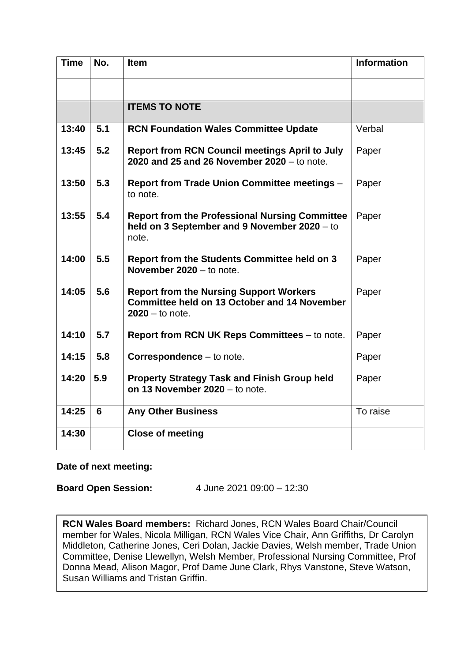| <b>Time</b> | No. | <b>Item</b>                                                                                                                | <b>Information</b> |
|-------------|-----|----------------------------------------------------------------------------------------------------------------------------|--------------------|
|             |     |                                                                                                                            |                    |
|             |     | <b>ITEMS TO NOTE</b>                                                                                                       |                    |
| 13:40       | 5.1 | <b>RCN Foundation Wales Committee Update</b>                                                                               | Verbal             |
| 13:45       | 5.2 | <b>Report from RCN Council meetings April to July</b><br>2020 and 25 and 26 November 2020 - to note.                       | Paper              |
| 13:50       | 5.3 | <b>Report from Trade Union Committee meetings -</b><br>to note.                                                            | Paper              |
| 13:55       | 5.4 | <b>Report from the Professional Nursing Committee</b><br>held on 3 September and 9 November 2020 - to<br>note.             | Paper              |
| 14:00       | 5.5 | <b>Report from the Students Committee held on 3</b><br>November 2020 - to note.                                            | Paper              |
| 14:05       | 5.6 | <b>Report from the Nursing Support Workers</b><br><b>Committee held on 13 October and 14 November</b><br>$2020 -$ to note. | Paper              |
| 14:10       | 5.7 | <b>Report from RCN UK Reps Committees – to note.</b>                                                                       | Paper              |
| 14:15       | 5.8 | Correspondence - to note.                                                                                                  | Paper              |
| 14:20       | 5.9 | <b>Property Strategy Task and Finish Group held</b><br>on 13 November 2020 - to note.                                      | Paper              |
| 14:25       | 6   | <b>Any Other Business</b>                                                                                                  | To raise           |
| 14:30       |     | <b>Close of meeting</b>                                                                                                    |                    |

## **Date of next meeting:**

**Board Open Session:** 4 June 2021 09:00 – 12:30

**RCN Wales Board members:** Richard Jones, RCN Wales Board Chair/Council member for Wales, Nicola Milligan, RCN Wales Vice Chair, Ann Griffiths, Dr Carolyn Middleton, Catherine Jones, Ceri Dolan, Jackie Davies, Welsh member, Trade Union Committee, Denise Llewellyn, Welsh Member, Professional Nursing Committee, Prof Donna Mead, Alison Magor, Prof Dame June Clark, Rhys Vanstone, Steve Watson, Susan Williams and Tristan Griffin.